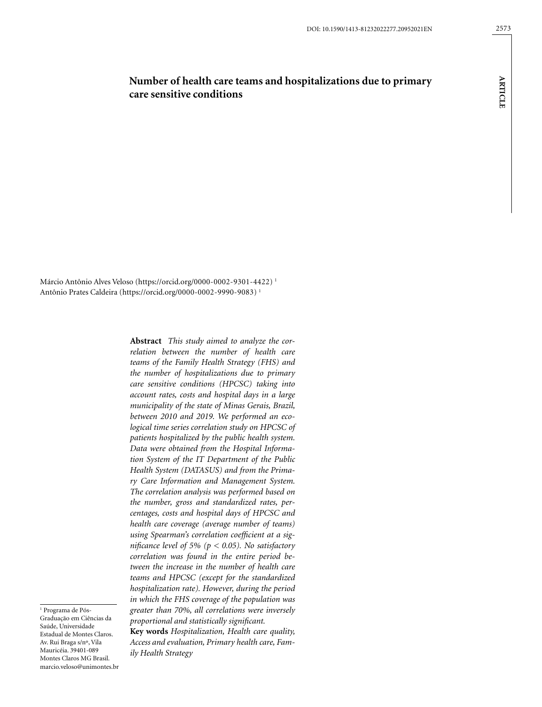# **Number of health care teams and hospitalizations due to primary care sensitive conditions**

Márcio Antônio Alves Veloso (https://orcid.org/0000-0002-9301-4422) 1 Antônio Prates Caldeira (https://orcid.org/0000-0002-9990-9083) 1

> **Abstract** *This study aimed to analyze the correlation between the number of health care teams of the Family Health Strategy (FHS) and the number of hospitalizations due to primary care sensitive conditions (HPCSC) taking into account rates, costs and hospital days in a large municipality of the state of Minas Gerais, Brazil, between 2010 and 2019. We performed an ecological time series correlation study on HPCSC of patients hospitalized by the public health system. Data were obtained from the Hospital Information System of the IT Department of the Public Health System (DATASUS) and from the Primary Care Information and Management System. The correlation analysis was performed based on the number, gross and standardized rates, percentages, costs and hospital days of HPCSC and health care coverage (average number of teams) using Spearman's correlation coefficient at a significance level of 5% (p < 0.05). No satisfactory correlation was found in the entire period between the increase in the number of health care teams and HPCSC (except for the standardized hospitalization rate). However, during the period in which the FHS coverage of the population was greater than 70%, all correlations were inversely proportional and statistically significant.*

1 Programa de Pós-Graduação em Ciências da Saúde, Universidade Estadual de Montes Claros. Av. Rui Braga s/nº, Vila Mauricéia. 39401-089 Montes Claros MG Brasil. [marcio.veloso@unimontes.br](mailto:marcio.veloso@unimontes.br)

**Key words** *Hospitalization, Health care quality, Access and evaluation, Primary health care, Family Health Strategy*

**ARTICLE**

**ARTICLE**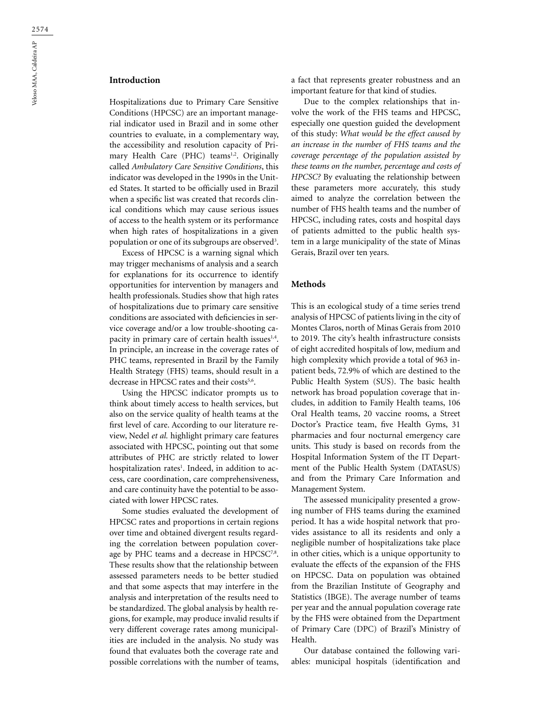## **Introduction**

Hospitalizations due to Primary Care Sensitive Conditions (HPCSC) are an important managerial indicator used in Brazil and in some other countries to evaluate, in a complementary way, the accessibility and resolution capacity of Primary Health Care (PHC) teams<sup>1,2</sup>. Originally called *Ambulatory Care Sensitive Conditions*, this indicator was developed in the 1990s in the United States. It started to be officially used in Brazil when a specific list was created that records clinical conditions which may cause serious issues of access to the health system or its performance when high rates of hospitalizations in a given population or one of its subgroups are observed<sup>3</sup>.

Excess of HPCSC is a warning signal which may trigger mechanisms of analysis and a search for explanations for its occurrence to identify opportunities for intervention by managers and health professionals. Studies show that high rates of hospitalizations due to primary care sensitive conditions are associated with deficiencies in service coverage and/or a low trouble-shooting capacity in primary care of certain health issues $1,4$ . In principle, an increase in the coverage rates of PHC teams, represented in Brazil by the Family Health Strategy (FHS) teams, should result in a decrease in HPCSC rates and their costs<sup>5,6</sup>.

Using the HPCSC indicator prompts us to think about timely access to health services, but also on the service quality of health teams at the first level of care. According to our literature review, Nedel *et al.* highlight primary care features associated with HPCSC, pointing out that some attributes of PHC are strictly related to lower hospitalization rates<sup>1</sup>. Indeed, in addition to access, care coordination, care comprehensiveness, and care continuity have the potential to be associated with lower HPCSC rates.

Some studies evaluated the development of HPCSC rates and proportions in certain regions over time and obtained divergent results regarding the correlation between population coverage by PHC teams and a decrease in HPCSC<sup>7,8</sup>. These results show that the relationship between assessed parameters needs to be better studied and that some aspects that may interfere in the analysis and interpretation of the results need to be standardized. The global analysis by health regions, for example, may produce invalid results if very different coverage rates among municipalities are included in the analysis. No study was found that evaluates both the coverage rate and possible correlations with the number of teams,

a fact that represents greater robustness and an important feature for that kind of studies.

Due to the complex relationships that involve the work of the FHS teams and HPCSC, especially one question guided the development of this study: *What would be the effect caused by an increase in the number of FHS teams and the coverage percentage of the population assisted by these teams on the number, percentage and costs of HPCSC?* By evaluating the relationship between these parameters more accurately, this study aimed to analyze the correlation between the number of FHS health teams and the number of HPCSC, including rates, costs and hospital days of patients admitted to the public health system in a large municipality of the state of Minas Gerais, Brazil over ten years.

#### **Methods**

This is an ecological study of a time series trend analysis of HPCSC of patients living in the city of Montes Claros, north of Minas Gerais from 2010 to 2019. The city's health infrastructure consists of eight accredited hospitals of low, medium and high complexity which provide a total of 963 inpatient beds, 72.9% of which are destined to the Public Health System (SUS). The basic health network has broad population coverage that includes, in addition to Family Health teams, 106 Oral Health teams, 20 vaccine rooms, a Street Doctor's Practice team, five Health Gyms, 31 pharmacies and four nocturnal emergency care units. This study is based on records from the Hospital Information System of the IT Department of the Public Health System (DATASUS) and from the Primary Care Information and Management System.

The assessed municipality presented a growing number of FHS teams during the examined period. It has a wide hospital network that provides assistance to all its residents and only a negligible number of hospitalizations take place in other cities, which is a unique opportunity to evaluate the effects of the expansion of the FHS on HPCSC. Data on population was obtained from the Brazilian Institute of Geography and Statistics (IBGE). The average number of teams per year and the annual population coverage rate by the FHS were obtained from the Department of Primary Care (DPC) of Brazil's Ministry of Health.

Our database contained the following variables: municipal hospitals (identification and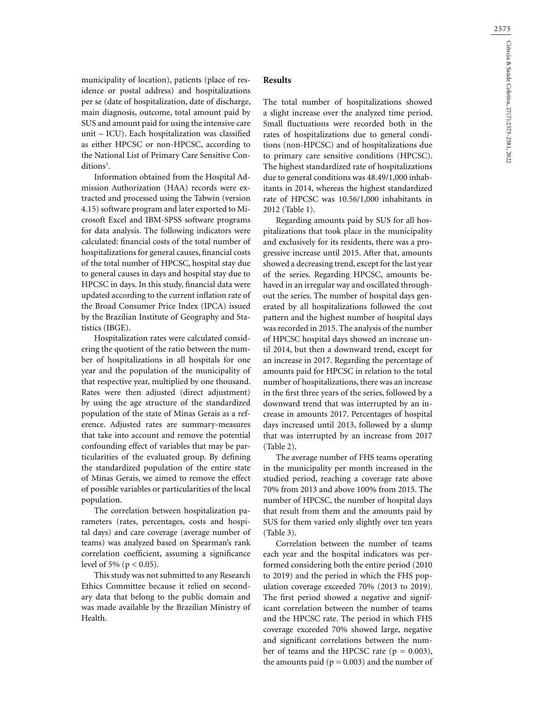municipality of location), patients (place of residence or postal address) and hospitalizations per se (date of hospitalization, date of discharge, main diagnosis, outcome, total amount paid by SUS and amount paid for using the intensive care unit – ICU). Each hospitalization was classified as either HPCSC or non-HPCSC, according to the National List of Primary Care Sensitive Conditions<sup>3</sup>.

Information obtained from the Hospital Admission Authorization (HAA) records were extracted and processed using the Tabwin (version 4.15) software program and later exported to Microsoft Excel and IBM-SPSS software programs for data analysis. The following indicators were calculated: financial costs of the total number of hospitalizations for general causes, financial costs of the total number of HPCSC, hospital stay due to general causes in days and hospital stay due to HPCSC in days. In this study, financial data were updated according to the current inflation rate of the Broad Consumer Price Index (IPCA) issued by the Brazilian Institute of Geography and Statistics (IBGE).

Hospitalization rates were calculated considering the quotient of the ratio between the number of hospitalizations in all hospitals for one year and the population of the municipality of that respective year, multiplied by one thousand. Rates were then adjusted (direct adjustment) by using the age structure of the standardized population of the state of Minas Gerais as a reference. Adjusted rates are summary-measures that take into account and remove the potential confounding effect of variables that may be particularities of the evaluated group. By defining the standardized population of the entire state of Minas Gerais, we aimed to remove the effect of possible variables or particularities of the local population.

The correlation between hospitalization parameters (rates, percentages, costs and hospital days) and care coverage (average number of teams) was analyzed based on Spearman's rank correlation coefficient, assuming a significance level of 5% ( $p < 0.05$ ).

This study was not submitted to any Research Ethics Committee because it relied on secondary data that belong to the public domain and was made available by the Brazilian Ministry of Health.

#### **Results**

The total number of hospitalizations showed a slight increase over the analyzed time period. Small fluctuations were recorded both in the rates of hospitalizations due to general conditions (non-HPCSC) and of hospitalizations due to primary care sensitive conditions (HPCSC). The highest standardized rate of hospitalizations due to general conditions was 48.49/1,000 inhabitants in 2014, whereas the highest standardized rate of HPCSC was 10.56/1,000 inhabitants in 2012 (Table 1).

Regarding amounts paid by SUS for all hospitalizations that took place in the municipality and exclusively for its residents, there was a progressive increase until 2015. After that, amounts showed a decreasing trend, except for the last year of the series. Regarding HPCSC, amounts behaved in an irregular way and oscillated throughout the series. The number of hospital days generated by all hospitalizations followed the cost pattern and the highest number of hospital days was recorded in 2015. The analysis of the number of HPCSC hospital days showed an increase until 2014, but then a downward trend, except for an increase in 2017. Regarding the percentage of amounts paid for HPCSC in relation to the total number of hospitalizations, there was an increase in the first three years of the series, followed by a downward trend that was interrupted by an increase in amounts 2017. Percentages of hospital days increased until 2013, followed by a slump that was interrupted by an increase from 2017 (Table 2).

The average number of FHS teams operating in the municipality per month increased in the studied period, reaching a coverage rate above 70% from 2013 and above 100% from 2015. The number of HPCSC, the number of hospital days that result from them and the amounts paid by SUS for them varied only slightly over ten years (Table 3).

Correlation between the number of teams each year and the hospital indicators was performed considering both the entire period (2010 to 2019) and the period in which the FHS population coverage exceeded 70% (2013 to 2019). The first period showed a negative and significant correlation between the number of teams and the HPCSC rate. The period in which FHS coverage exceeded 70% showed large, negative and significant correlations between the number of teams and the HPCSC rate  $(p = 0.003)$ , the amounts paid ( $p = 0.003$ ) and the number of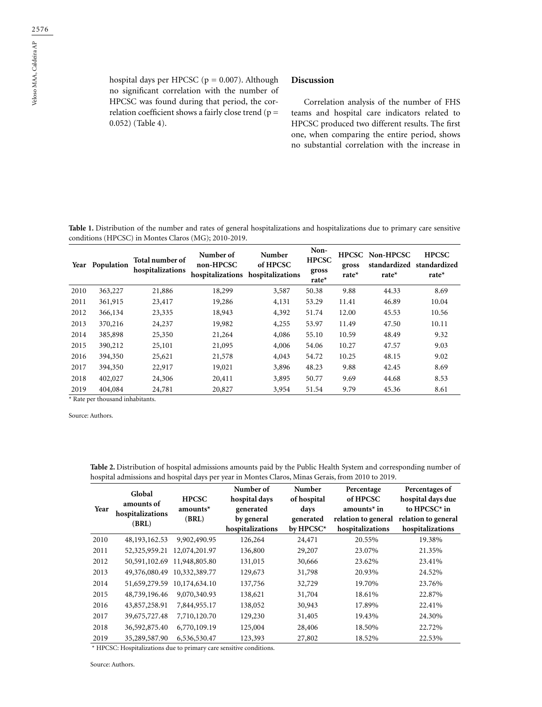hospital days per HPCSC ( $p = 0.007$ ). Although no significant correlation with the number of HPCSC was found during that period, the correlation coefficient shows a fairly close trend ( $p =$ 0.052) (Table 4).

### **Discussion**

Correlation analysis of the number of FHS teams and hospital care indicators related to HPCSC produced two different results. The first one, when comparing the entire period, shows no substantial correlation with the increase in

**Table 1.** Distribution of the number and rates of general hospitalizations and hospitalizations due to primary care sensitive conditions (HPCSC) in Montes Claros (MG); 2010-2019.

|      | Year Population | Total number of<br>hospitalizations | Number of<br>non-HPCSC | Number<br>of HPCSC<br>hospitalizations hospitalizations | Non-<br><b>HPCSC</b><br>gross<br>rate $*$ | <b>HPCSC</b><br>gross<br>rate $*$ | Non-HPCSC<br>standardized<br>rate $*$ | <b>HPCSC</b><br>standardized<br>rate $*$ |
|------|-----------------|-------------------------------------|------------------------|---------------------------------------------------------|-------------------------------------------|-----------------------------------|---------------------------------------|------------------------------------------|
| 2010 | 363,227         | 21,886                              | 18,299                 | 3,587                                                   | 50.38                                     | 9.88                              | 44.33                                 | 8.69                                     |
| 2011 | 361,915         | 23,417                              | 19,286                 | 4,131                                                   | 53.29                                     | 11.41                             | 46.89                                 | 10.04                                    |
| 2012 | 366,134         | 23,335                              | 18,943                 | 4,392                                                   | 51.74                                     | 12.00                             | 45.53                                 | 10.56                                    |
| 2013 | 370,216         | 24,237                              | 19,982                 | 4,255                                                   | 53.97                                     | 11.49                             | 47.50                                 | 10.11                                    |
| 2014 | 385,898         | 25,350                              | 21,264                 | 4,086                                                   | 55.10                                     | 10.59                             | 48.49                                 | 9.32                                     |
| 2015 | 390,212         | 25,101                              | 21,095                 | 4,006                                                   | 54.06                                     | 10.27                             | 47.57                                 | 9.03                                     |
| 2016 | 394,350         | 25,621                              | 21,578                 | 4,043                                                   | 54.72                                     | 10.25                             | 48.15                                 | 9.02                                     |
| 2017 | 394,350         | 22,917                              | 19,021                 | 3,896                                                   | 48.23                                     | 9.88                              | 42.45                                 | 8.69                                     |
| 2018 | 402,027         | 24,306                              | 20,411                 | 3,895                                                   | 50.77                                     | 9.69                              | 44.68                                 | 8.53                                     |
| 2019 | 404,084         | 24,781                              | 20,827                 | 3,954                                                   | 51.54                                     | 9.79                              | 45.36                                 | 8.61                                     |

\* Rate per thousand inhabitants.

Source: Authors.

| Year | Global<br>amounts of<br>hospitalizations<br>(BRL) | <b>HPCSC</b><br>amounts $*$<br>(BRL) | Number of<br>hospital days<br>generated<br>by general<br>hospitalizations | Number<br>of hospital<br>days<br>generated<br>by HPCSC* | Percentage<br>of HPCSC<br>amounts $*$ in<br>relation to general<br>hospitalizations | Percentages of<br>hospital days due<br>to $HPCSC^*$ in<br>relation to general<br>hospitalizations |
|------|---------------------------------------------------|--------------------------------------|---------------------------------------------------------------------------|---------------------------------------------------------|-------------------------------------------------------------------------------------|---------------------------------------------------------------------------------------------------|
| 2010 | 48, 193, 162. 53                                  | 9,902,490.95                         | 126,264                                                                   | 24,471                                                  | 20.55%                                                                              | 19.38%                                                                                            |
| 2011 | 52, 325, 959. 21                                  | 12,074,201.97                        | 136,800                                                                   | 29,207                                                  | 23.07%                                                                              | 21.35%                                                                                            |
| 2012 |                                                   | 50,591,102.69 11,948,805.80          | 131,015                                                                   | 30,666                                                  | 23.62%                                                                              | 23.41%                                                                                            |
| 2013 | 49,376,080.49                                     | 10,332,389.77                        | 129,673                                                                   | 31,798                                                  | 20.93%                                                                              | 24.52%                                                                                            |
| 2014 | 51,659,279.59                                     | 10,174,634.10                        | 137,756                                                                   | 32,729                                                  | 19.70%                                                                              | 23.76%                                                                                            |
| 2015 | 48,739,196.46                                     | 9,070,340.93                         | 138,621                                                                   | 31,704                                                  | 18.61%                                                                              | 22.87%                                                                                            |
| 2016 | 43,857,258.91                                     | 7,844,955.17                         | 138,052                                                                   | 30,943                                                  | 17.89%                                                                              | 22.41%                                                                                            |
| 2017 | 39,675,727.48                                     | 7,710,120.70                         | 129,230                                                                   | 31,405                                                  | 19.43%                                                                              | 24.30%                                                                                            |
| 2018 | 36,592,875.40                                     | 6,770,109.19                         | 125,004                                                                   | 28,406                                                  | 18.50%                                                                              | 22.72%                                                                                            |
| 2019 | 35,289,587.90                                     | 6,536,530.47                         | 123,393                                                                   | 27,802                                                  | 18.52%                                                                              | 22.53%                                                                                            |

**Table 2.** Distribution of hospital admissions amounts paid by the Public Health System and corresponding number of hospital admissions and hospital days per year in Montes Claros, Minas Gerais, from 2010 to 2019.

\* HPCSC: Hospitalizations due to primary care sensitive conditions.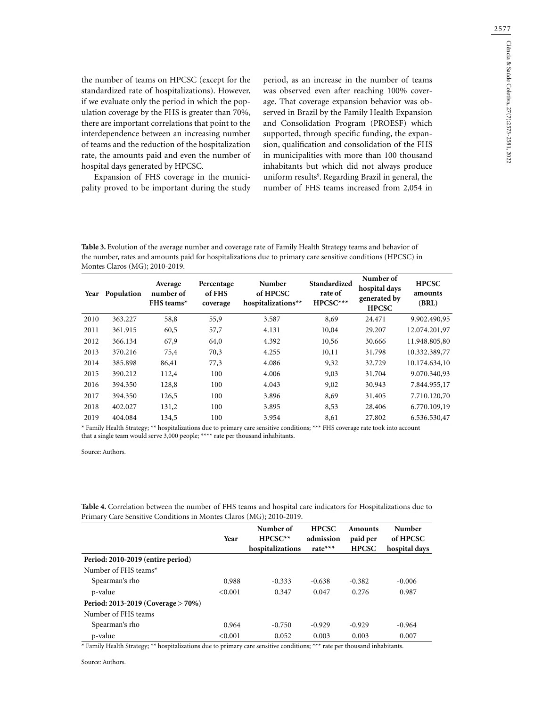the number of teams on HPCSC (except for the standardized rate of hospitalizations). However, if we evaluate only the period in which the population coverage by the FHS is greater than 70%, there are important correlations that point to the interdependence between an increasing number of teams and the reduction of the hospitalization rate, the amounts paid and even the number of hospital days generated by HPCSC.

Expansion of FHS coverage in the municipality proved to be important during the study period, as an increase in the number of teams was observed even after reaching 100% coverage. That coverage expansion behavior was observed in Brazil by the Family Health Expansion and Consolidation Program (PROESF) which supported, through specific funding, the expansion, qualification and consolidation of the FHS in municipalities with more than 100 thousand inhabitants but which did not always produce uniform results9 . Regarding Brazil in general, the number of FHS teams increased from 2,054 in

**Table 3.** Evolution of the average number and coverage rate of Family Health Strategy teams and behavior of the number, rates and amounts paid for hospitalizations due to primary care sensitive conditions (HPCSC) in Montes Claros (MG); 2010-2019.

| Year | Population | Average<br>number of<br>FHS teams* | Percentage<br>of FHS<br>coverage | Number<br>of HPCSC<br>hospitalizations** | Standardized<br>rate of<br>HPCSC*** | Number of<br>hospital days<br>generated by<br><b>HPCSC</b> | <b>HPCSC</b><br>amounts<br>(BRL) |
|------|------------|------------------------------------|----------------------------------|------------------------------------------|-------------------------------------|------------------------------------------------------------|----------------------------------|
| 2010 | 363.227    | 58,8                               | 55,9                             | 3.587                                    | 8,69                                | 24.471                                                     | 9.902.490,95                     |
| 2011 | 361.915    | 60,5                               | 57,7                             | 4.131                                    | 10,04                               | 29.207                                                     | 12.074.201,97                    |
| 2012 | 366.134    | 67,9                               | 64,0                             | 4.392                                    | 10,56                               | 30.666                                                     | 11.948.805,80                    |
| 2013 | 370.216    | 75,4                               | 70,3                             | 4.255                                    | 10,11                               | 31.798                                                     | 10.332.389,77                    |
| 2014 | 385.898    | 86,41                              | 77,3                             | 4.086                                    | 9,32                                | 32.729                                                     | 10.174.634,10                    |
| 2015 | 390.212    | 112,4                              | 100                              | 4.006                                    | 9,03                                | 31.704                                                     | 9.070.340,93                     |
| 2016 | 394.350    | 128,8                              | 100                              | 4.043                                    | 9,02                                | 30.943                                                     | 7.844.955,17                     |
| 2017 | 394.350    | 126,5                              | 100                              | 3.896                                    | 8,69                                | 31.405                                                     | 7.710.120.70                     |
| 2018 | 402.027    | 131,2                              | 100                              | 3.895                                    | 8,53                                | 28.406                                                     | 6.770.109,19                     |
| 2019 | 404.084    | 134,5                              | 100                              | 3.954                                    | 8,61                                | 27.802                                                     | 6.536.530,47                     |

\* Family Health Strategy; \*\* hospitalizations due to primary care sensitive conditions; \*\*\* FHS coverage rate took into account that a single team would serve 3,000 people; \*\*\*\* rate per thousand inhabitants.

Source: Authors.

| Table 4. Correlation between the number of FHS teams and hospital care indicators for Hospitalizations due to |  |
|---------------------------------------------------------------------------------------------------------------|--|
| Primary Care Sensitive Conditions in Montes Claros (MG); 2010-2019.                                           |  |

|                                    | Year    | Number of<br>$HPCSC**$<br>hospitalizations | <b>HPCSC</b><br>admission<br>rate $***$ | <b>Amounts</b><br>paid per<br><b>HPCSC</b> | <b>Number</b><br>of HPCSC<br>hospital days |
|------------------------------------|---------|--------------------------------------------|-----------------------------------------|--------------------------------------------|--------------------------------------------|
| Period: 2010-2019 (entire period)  |         |                                            |                                         |                                            |                                            |
| Number of FHS teams*               |         |                                            |                                         |                                            |                                            |
| Spearman's rho                     | 0.988   | $-0.333$                                   | $-0.638$                                | $-0.382$                                   | $-0.006$                                   |
| p-value                            | <0.001  | 0.347                                      | 0.047                                   | 0.276                                      | 0.987                                      |
| Period: 2013-2019 (Coverage > 70%) |         |                                            |                                         |                                            |                                            |
| Number of FHS teams                |         |                                            |                                         |                                            |                                            |
| Spearman's rho                     | 0.964   | $-0.750$                                   | $-0.929$                                | $-0.929$                                   | $-0.964$                                   |
| p-value                            | < 0.001 | 0.052                                      | 0.003                                   | 0.003                                      | 0.007                                      |

\* Family Health Strategy; \*\* hospitalizations due to primary care sensitive conditions; \*\*\* rate per thousand inhabitants.

Source: Authors.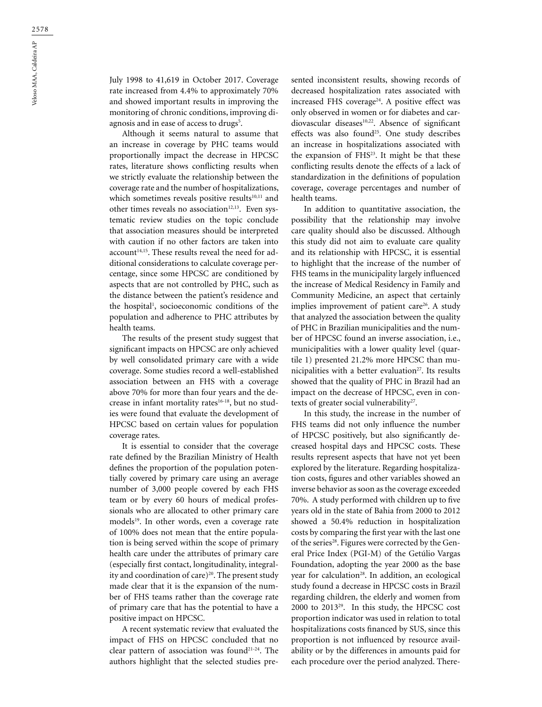July 1998 to 41,619 in October 2017. Coverage rate increased from 4.4% to approximately 70% and showed important results in improving the monitoring of chronic conditions, improving diagnosis and in ease of access to drugs<sup>5</sup>.

Although it seems natural to assume that an increase in coverage by PHC teams would proportionally impact the decrease in HPCSC rates, literature shows conflicting results when we strictly evaluate the relationship between the coverage rate and the number of hospitalizations, which sometimes reveals positive results<sup>10,11</sup> and other times reveals no association<sup>12,13</sup>. Even systematic review studies on the topic conclude that association measures should be interpreted with caution if no other factors are taken into account<sup>14,15</sup>. These results reveal the need for additional considerations to calculate coverage percentage, since some HPCSC are conditioned by aspects that are not controlled by PHC, such as the distance between the patient's residence and the hospital<sup>1</sup>, socioeconomic conditions of the population and adherence to PHC attributes by health teams.

The results of the present study suggest that significant impacts on HPCSC are only achieved by well consolidated primary care with a wide coverage. Some studies record a well-established association between an FHS with a coverage above 70% for more than four years and the decrease in infant mortality rates<sup>16-18</sup>, but no studies were found that evaluate the development of HPCSC based on certain values for population coverage rates.

It is essential to consider that the coverage rate defined by the Brazilian Ministry of Health defines the proportion of the population potentially covered by primary care using an average number of 3,000 people covered by each FHS team or by every 60 hours of medical professionals who are allocated to other primary care models<sup>19</sup>. In other words, even a coverage rate of 100% does not mean that the entire population is being served within the scope of primary health care under the attributes of primary care (especially first contact, longitudinality, integrality and coordination of care)<sup>20</sup>. The present study made clear that it is the expansion of the number of FHS teams rather than the coverage rate of primary care that has the potential to have a positive impact on HPCSC.

A recent systematic review that evaluated the impact of FHS on HPCSC concluded that no clear pattern of association was found<sup>21-24</sup>. The authors highlight that the selected studies presented inconsistent results, showing records of decreased hospitalization rates associated with increased FHS coverage<sup>24</sup>. A positive effect was only observed in women or for diabetes and cardiovascular diseases<sup>10,22</sup>. Absence of significant effects was also found<sup>25</sup>. One study describes an increase in hospitalizations associated with the expansion of FHS<sup>23</sup>. It might be that these conflicting results denote the effects of a lack of standardization in the definitions of population coverage, coverage percentages and number of health teams.

In addition to quantitative association, the possibility that the relationship may involve care quality should also be discussed. Although this study did not aim to evaluate care quality and its relationship with HPCSC, it is essential to highlight that the increase of the number of FHS teams in the municipality largely influenced the increase of Medical Residency in Family and Community Medicine, an aspect that certainly implies improvement of patient care<sup>26</sup>. A study that analyzed the association between the quality of PHC in Brazilian municipalities and the number of HPCSC found an inverse association, i.e., municipalities with a lower quality level (quartile 1) presented 21.2% more HPCSC than municipalities with a better evaluation<sup>27</sup>. Its results showed that the quality of PHC in Brazil had an impact on the decrease of HPCSC, even in contexts of greater social vulnerability<sup>27</sup>.

In this study, the increase in the number of FHS teams did not only influence the number of HPCSC positively, but also significantly decreased hospital days and HPCSC costs. These results represent aspects that have not yet been explored by the literature. Regarding hospitalization costs, figures and other variables showed an inverse behavior as soon as the coverage exceeded 70%. A study performed with children up to five years old in the state of Bahia from 2000 to 2012 showed a 50.4% reduction in hospitalization costs by comparing the first year with the last one of the series<sup>28</sup>. Figures were corrected by the General Price Index (PGI-M) of the Getúlio Vargas Foundation, adopting the year 2000 as the base year for calculation<sup>28</sup>. In addition, an ecological study found a decrease in HPCSC costs in Brazil regarding children, the elderly and women from 2000 to 201329. In this study, the HPCSC cost proportion indicator was used in relation to total hospitalizations costs financed by SUS, since this proportion is not influenced by resource availability or by the differences in amounts paid for each procedure over the period analyzed. There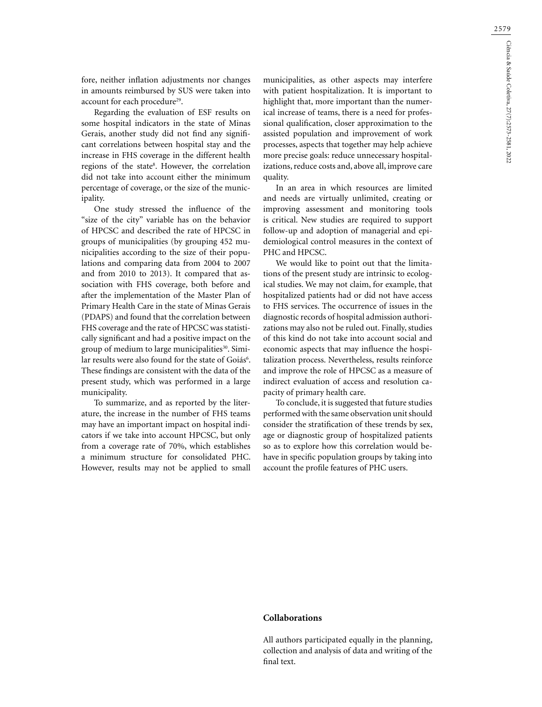fore, neither inflation adjustments nor changes in amounts reimbursed by SUS were taken into account for each procedure<sup>29</sup>.

Regarding the evaluation of ESF results on some hospital indicators in the state of Minas Gerais, another study did not find any significant correlations between hospital stay and the increase in FHS coverage in the different health regions of the state<sup>8</sup>. However, the correlation did not take into account either the minimum percentage of coverage, or the size of the municipality.

One study stressed the influence of the "size of the city" variable has on the behavior of HPCSC and described the rate of HPCSC in groups of municipalities (by grouping 452 municipalities according to the size of their populations and comparing data from 2004 to 2007 and from 2010 to 2013). It compared that association with FHS coverage, both before and after the implementation of the Master Plan of Primary Health Care in the state of Minas Gerais (PDAPS) and found that the correlation between FHS coverage and the rate of HPCSC was statistically significant and had a positive impact on the group of medium to large municipalities<sup>30</sup>. Similar results were also found for the state of Goiás<sup>6</sup>. These findings are consistent with the data of the present study, which was performed in a large municipality.

To summarize, and as reported by the literature, the increase in the number of FHS teams may have an important impact on hospital indicators if we take into account HPCSC, but only from a coverage rate of 70%, which establishes a minimum structure for consolidated PHC. However, results may not be applied to small municipalities, as other aspects may interfere with patient hospitalization. It is important to highlight that, more important than the numerical increase of teams, there is a need for professional qualification, closer approximation to the assisted population and improvement of work processes, aspects that together may help achieve more precise goals: reduce unnecessary hospitalizations, reduce costs and, above all, improve care quality.

In an area in which resources are limited and needs are virtually unlimited, creating or improving assessment and monitoring tools is critical. New studies are required to support follow-up and adoption of managerial and epidemiological control measures in the context of PHC and HPCSC.

We would like to point out that the limitations of the present study are intrinsic to ecological studies. We may not claim, for example, that hospitalized patients had or did not have access to FHS services. The occurrence of issues in the diagnostic records of hospital admission authorizations may also not be ruled out. Finally, studies of this kind do not take into account social and economic aspects that may influence the hospitalization process. Nevertheless, results reinforce and improve the role of HPCSC as a measure of indirect evaluation of access and resolution capacity of primary health care.

To conclude, it is suggested that future studies performed with the same observation unit should consider the stratification of these trends by sex, age or diagnostic group of hospitalized patients so as to explore how this correlation would behave in specific population groups by taking into account the profile features of PHC users.

#### **Collaborations**

All authors participated equally in the planning, collection and analysis of data and writing of the final text.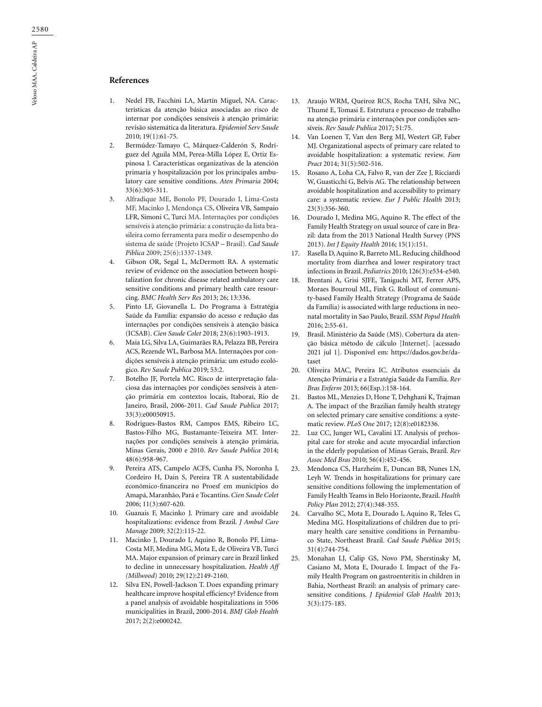#### **References**

- 1. Nedel FB, Facchini LA, Martín Miguel, NA. Características da atenção básica associadas ao risco de internar por condições sensíveis à atenção primária: revisão sistemática da literatura. *Epidemiol Serv Saude* 2010; 19(1):61-75.
- 2. Bermúdez-Tamayo C, Márquez-Calderón S, Rodríguez del Aguila MM, Perea-Milla López E, Ortiz Espinosa J. Características organizativas de la atención primaria y hospitalización por los principales ambulatory care sensitive conditions. *Aten Primaria* 2004; 33(6):305-311.
- 3. Alfradique ME, Bonolo PF, Dourado I, Lima-Costa MF, Macinko J, Mendonça CS, Oliveira VB, Sampaio LFR, Simoni C, Turci MA. Internações por condições sensíveis à atenção primária: a construção da lista brasileira como ferramenta para medir o desempenho do sistema de saúde (Projeto ICSAP – Brasil). *Cad Saude Piblica* 2009; 25(6):1337-1349.
- 4. Gibson OR, Segal L, McDermott RA. A systematic review of evidence on the association between hospitalization for chronic disease related ambulatory care sensitive conditions and primary health care resourcing. *BMC Health Serv Res* 2013; 26; 13:336.
- 5. Pinto LF, Giovanella L. Do Programa à Estratégia Saúde da Família: expansão do acesso e redução das internações por condições sensíveis à atenção básica (ICSAB). *Cien Saude Colet* 2018; 23(6):1903-1913.
- 6. Maia LG, Silva LA, Guimarães RA, Pelazza BB, Pereira ACS, Rezende WL, Barbosa MA. Internações por condições sensíveis à atenção primária: um estudo ecológico. *Rev Saude Publica* 2019; 53:2.
- 7. Botelho JF, Portela MC. Risco de interpretação falaciosa das internações por condições sensíveis à atenção primária em contextos locais, Itaboraí, Rio de Janeiro, Brasil, 2006-2011*. Cad Saude Publica* 2017; 33(3):e00050915.
- 8. Rodrigues-Bastos RM, Campos EMS, Ribeiro LC, Bastos-Filho MG, Bustamante-Teixeira MT. Internações por condições sensíveis à atenção primária, Minas Gerais, 2000 e 2010. *Rev Saude Publica* 2014; 48(6):958-967.
- 9. Pereira ATS, Campelo ACFS, Cunha FS, Noronha J, Cordeiro H, Dain S, Pereira TR A sustentabilidade econômico-financeira no Proesf em municípios do Amapá, Maranhão, Pará e Tocantins. *Cien Saude Colet*  2006; 11(3):607-620.
- 10. Guanais F, Macinko J. Primary care and avoidable hospitalizations: evidence from Brazil. *J Ambul Care Manage* 2009; 32(2):115-22.
- 11. Macinko J, Dourado I, Aquino R, Bonolo PF, Lima-Costa MF, Medina MG, Mota E, de Oliveira VB, Turci MA. Major expansion of primary care in Brazil linked to decline in unnecessary hospitalization. *Health Aff (Millwood*) 2010; 29(12):2149-2160.
- 12. Silva EN, Powell-Jackson T. Does expanding primary healthcare improve hospital efficiency? Evidence from a panel analysis of avoidable hospitalizations in 5506 municipalities in Brazil, 2000-2014. *BMJ Glob Health* 2017; 2(2):e000242.
- 13. Araujo WRM, Queiroz RCS, Rocha TAH, Silva NC, Thumé E, Tomasi E. Estrutura e processo de trabalho na atenção primária e internações por condições sensíveis. *Rev Saude Publica* 2017; 51:75.
- 14. Van Loenen T, Van den Berg MJ, Westert GP, Faber MJ. Organizational aspects of primary care related to avoidable hospitalization: a systematic review. *Fam Pract* 2014; 31(5):502-516.
- 15. Rosano A, Loha CA, Falvo R, van der Zee J, Ricciardi W, Guasticchi G, Belvis AG. The relationship between avoidable hospitalization and accessibility to primary care: a systematic review. *Eur J Public Health* 2013; 23(3):356-360.
- 16. Dourado I, Medina MG, Aquino R. The effect of the Family Health Strategy on usual source of care in Brazil: data from the 2013 National Health Survey (PNS 2013). *Int J Equity Health* 2016; 15(1):151.
- 17. Rasella D, Aquino R, Barreto ML. Reducing childhood mortality from diarrhea and lower respiratory tract infections in Brazil. *Pediatrics* 2010; 126(3):e534-e540.
- 18. Brentani A, Grisi SJFE, Taniguchi MT, Ferrer APS, Moraes Bourroul ML, Fink G. Rollout of community-based Family Health Strategy (Programa de Saúde da Família) is associated with large reductions in neonatal mortality in Sao Paulo, Brazil. *SSM Popul Health*  2016; 2:55-61.
- 19. Brasil. Ministério da Saúde (MS). Cobertura da atenção básica método de cálculo [Internet]. [acessado 2021 jul 1]. Disponível em: https://dados.gov.br/dataset
- 20. Oliveira MAC, Pereira IC. Atributos essenciais da Atenção Primária e a Estratégia Saúde da Família. *Rev Bras Enferm* 2013; 66(Esp.):158-164.
- 21. Bastos ML, Menzies D, Hone T, Dehghani K, Trajman A. The impact of the Brazilian family health strategy on selected primary care sensitive conditions: a systematic review. *PLoS One* 2017; 12(8):e0182336.
- 22. Luz CC, Junger WL, Cavalini LT. Analysis of prehospital care for stroke and acute myocardial infarction in the elderly population of Minas Gerais, Brazil. *Rev Assoc Med Bras* 2010; 56(4):452-456.
- 23. Mendonca CS, Harzheim E, Duncan BB, Nunes LN, Leyh W. Trends in hospitalizations for primary care sensitive conditions following the implementation of Family Health Teams in Belo Horizonte, Brazil. *Health Policy Plan* 2012; 27(4):348-355.
- 24. Carvalho SC, Mota E, Dourado I, Aquino R, Teles C, Medina MG. Hospitalizations of children due to primary health care sensitive conditions in Pernambuco State, Northeast Brazil. *Cad Saude Publica* 2015; 31(4):744-754.
- 25. Monahan LJ, Calip GS, Novo PM, Sherstinsky M, Casiano M, Mota E, Dourado I. Impact of the Family Health Program on gastroenteritis in children in Bahia, Northeast Brazil: an analysis of primary caresensitive conditions. *J Epidemiol Glob Health* 2013; 3(3):175-185.